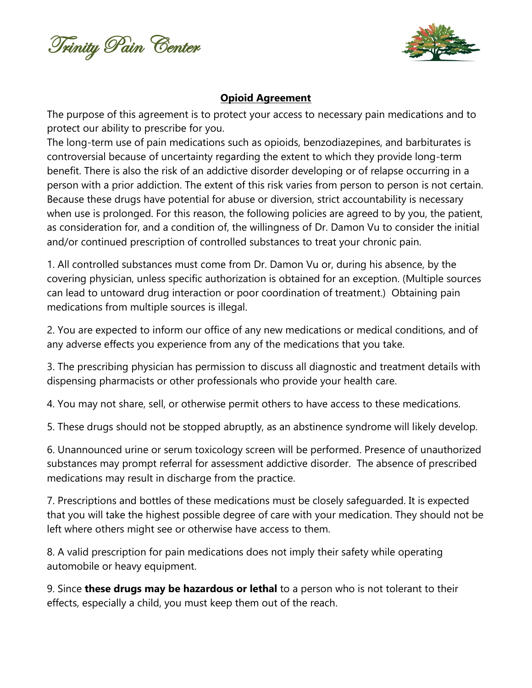Trinity Pain Center



## **Opioid Agreement**

The purpose of this agreement is to protect your access to necessary pain medications and to protect our ability to prescribe for you.

The long-term use of pain medications such as opioids, benzodiazepines, and barbiturates is controversial because of uncertainty regarding the extent to which they provide long-term benefit. There is also the risk of an addictive disorder developing or of relapse occurring in a person with a prior addiction. The extent of this risk varies from person to person is not certain. Because these drugs have potential for abuse or diversion, strict accountability is necessary when use is prolonged. For this reason, the following policies are agreed to by you, the patient, as consideration for, and a condition of, the willingness of Dr. Damon Vu to consider the initial and/or continued prescription of controlled substances to treat your chronic pain.

1. All controlled substances must come from Dr. Damon Vu or, during his absence, by the covering physician, unless specific authorization is obtained for an exception. (Multiple sources can lead to untoward drug interaction or poor coordination of treatment.) Obtaining pain medications from multiple sources is illegal.

2. You are expected to inform our office of any new medications or medical conditions, and of any adverse effects you experience from any of the medications that you take.

3. The prescribing physician has permission to discuss all diagnostic and treatment details with dispensing pharmacists or other professionals who provide your health care.

4. You may not share, sell, or otherwise permit others to have access to these medications.

5. These drugs should not be stopped abruptly, as an abstinence syndrome will likely develop.

6. Unannounced urine or serum toxicology screen will be performed. Presence of unauthorized substances may prompt referral for assessment addictive disorder. The absence of prescribed medications may result in discharge from the practice.

7. Prescriptions and bottles of these medications must be closely safeguarded. It is expected that you will take the highest possible degree of care with your medication. They should not be left where others might see or otherwise have access to them.

8. A valid prescription for pain medications does not imply their safety while operating automobile or heavy equipment.

9. Since **these drugs may be hazardous or lethal** to a person who is not tolerant to their effects, especially a child, you must keep them out of the reach.